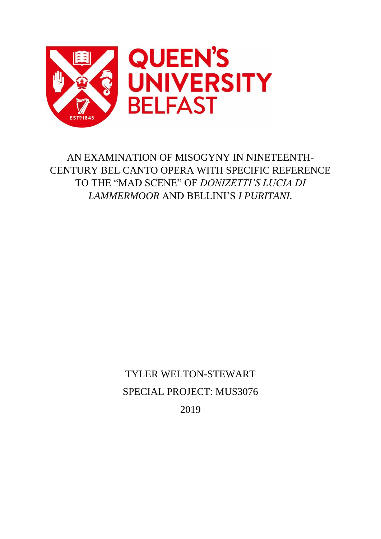

AN EXAMINATION OF MISOGYNY IN NINETEENTH-CENTURY BEL CANTO OPERA WITH SPECIFIC REFERENCE TO THE "MAD SCENE" OF *DONIZETTI'S LUCIA DI LAMMERMOOR* AND BELLINI'S *I PURITANI.*

> TYLER WELTON-STEWART SPECIAL PROJECT: MUS3076 2019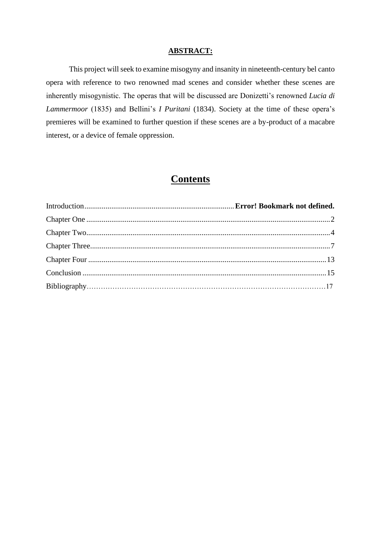## **ABSTRACT:**

This project will seek to examine misogyny and insanity in nineteenth-century bel canto opera with reference to two renowned mad scenes and consider whether these scenes are inherently misogynistic. The operas that will be discussed are Donizetti's renowned *Lucia di Lammermoor* (1835) and Bellini's *I Puritani* (1834). Society at the time of these opera's premieres will be examined to further question if these scenes are a by-product of a macabre interest, or a device of female oppression.

## **Contents**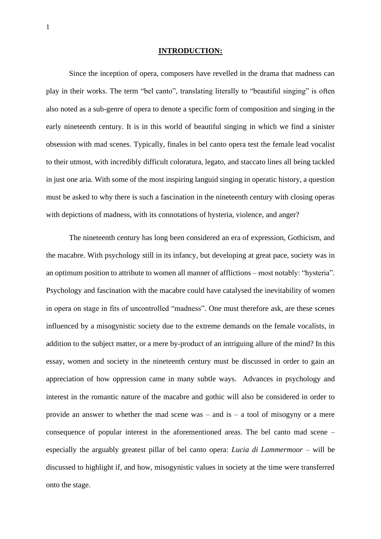#### **INTRODUCTION:**

Since the inception of opera, composers have revelled in the drama that madness can play in their works. The term "bel canto", translating literally to "beautiful singing" is often also noted as a sub-genre of opera to denote a specific form of composition and singing in the early nineteenth century. It is in this world of beautiful singing in which we find a sinister obsession with mad scenes. Typically, finales in bel canto opera test the female lead vocalist to their utmost, with incredibly difficult coloratura, legato, and staccato lines all being tackled in just one aria. With some of the most inspiring languid singing in operatic history, a question must be asked to why there is such a fascination in the nineteenth century with closing operas with depictions of madness, with its connotations of hysteria, violence, and anger?

The nineteenth century has long been considered an era of expression, Gothicism, and the macabre. With psychology still in its infancy, but developing at great pace, society was in an optimum position to attribute to women all manner of afflictions – most notably: "hysteria". Psychology and fascination with the macabre could have catalysed the inevitability of women in opera on stage in fits of uncontrolled "madness". One must therefore ask, are these scenes influenced by a misogynistic society due to the extreme demands on the female vocalists, in addition to the subject matter, or a mere by-product of an intriguing allure of the mind? In this essay, women and society in the nineteenth century must be discussed in order to gain an appreciation of how oppression came in many subtle ways. Advances in psychology and interest in the romantic nature of the macabre and gothic will also be considered in order to provide an answer to whether the mad scene was – and is – a tool of misogyny or a mere consequence of popular interest in the aforementioned areas. The bel canto mad scene – especially the arguably greatest pillar of bel canto opera: *Lucia di Lammermoor –* will be discussed to highlight if, and how, misogynistic values in society at the time were transferred onto the stage.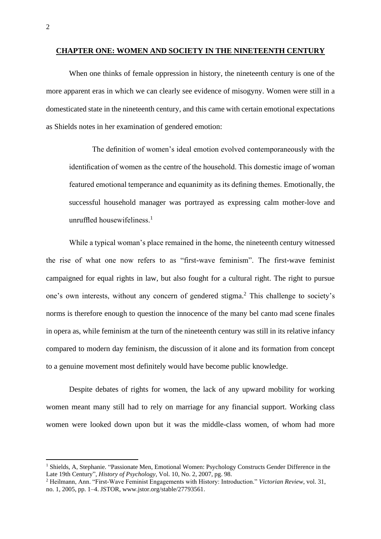#### **CHAPTER ONE: WOMEN AND SOCIETY IN THE NINETEENTH CENTURY**

When one thinks of female oppression in history, the nineteenth century is one of the more apparent eras in which we can clearly see evidence of misogyny. Women were still in a domesticated state in the nineteenth century, and this came with certain emotional expectations as Shields notes in her examination of gendered emotion:

The definition of women's ideal emotion evolved contemporaneously with the identification of women as the centre of the household. This domestic image of woman featured emotional temperance and equanimity as its defining themes. Emotionally, the successful household manager was portrayed as expressing calm mother-love and unruffled housewifeliness.<sup>1</sup>

While a typical woman's place remained in the home, the nineteenth century witnessed the rise of what one now refers to as "first-wave feminism". The first-wave feminist campaigned for equal rights in law, but also fought for a cultural right. The right to pursue one's own interests, without any concern of gendered stigma.<sup>2</sup> This challenge to society's norms is therefore enough to question the innocence of the many bel canto mad scene finales in opera as, while feminism at the turn of the nineteenth century was still in its relative infancy compared to modern day feminism, the discussion of it alone and its formation from concept to a genuine movement most definitely would have become public knowledge.

Despite debates of rights for women, the lack of any upward mobility for working women meant many still had to rely on marriage for any financial support. Working class women were looked down upon but it was the middle-class women, of whom had more

<sup>&</sup>lt;sup>1</sup> Shields, A, Stephanie. "Passionate Men, Emotional Women: Psychology Constructs Gender Difference in the Late 19th Century"*, History of Psychology*, Vol. 10, No. 2, 2007, pg. 98.

<sup>2</sup> Heilmann, Ann. "First-Wave Feminist Engagements with History: Introduction." *Victorian Review*, vol. 31, no. 1, 2005, pp. 1–4. JSTOR, www.jstor.org/stable/27793561.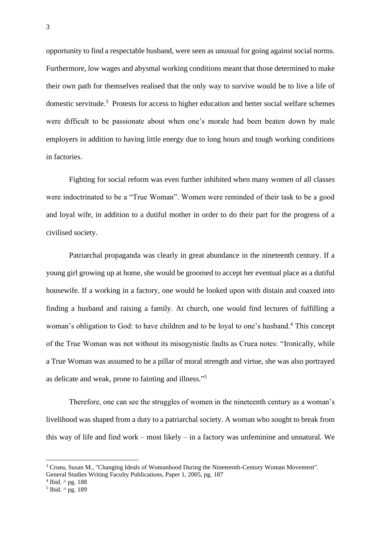opportunity to find a respectable husband, were seen as unusual for going against social norms. Furthermore, low wages and abysmal working conditions meant that those determined to make their own path for themselves realised that the only way to survive would be to live a life of domestic servitude.<sup>3</sup> Protests for access to higher education and better social welfare schemes were difficult to be passionate about when one's morale had been beaten down by male employers in addition to having little energy due to long hours and tough working conditions in factories.

Fighting for social reform was even further inhibited when many women of all classes were indoctrinated to be a "True Woman". Women were reminded of their task to be a good and loyal wife, in addition to a dutiful mother in order to do their part for the progress of a civilised society.

Patriarchal propaganda was clearly in great abundance in the nineteenth century. If a young girl growing up at home, she would be groomed to accept her eventual place as a dutiful housewife. If a working in a factory, one would be looked upon with distain and coaxed into finding a husband and raising a family. At church, one would find lectures of fulfilling a woman's obligation to God: to have children and to be loyal to one's husband.<sup>4</sup> This concept of the True Woman was not without its misogynistic faults as Cruea notes: "Ironically, while a True Woman was assumed to be a pillar of moral strength and virtue, she was also portrayed as delicate and weak, prone to fainting and illness."<sup>5</sup>

Therefore, one can see the struggles of women in the nineteenth century as a woman's livelihood was shaped from a duty to a patriarchal society. A woman who sought to break from this way of life and find work – most likely – in a factory was unfeminine and unnatural. We

<sup>3</sup> Cruea, Susan M., "Changing Ideals of Womanhood During the Nineteenth-Century Woman Movement". General Studies Writing Faculty Publications, Paper 1, 2005, pg. 187

 $4$  Ibid.  $\wedge$  pg. 188

<sup>5</sup> Ibid. ^ pg. 189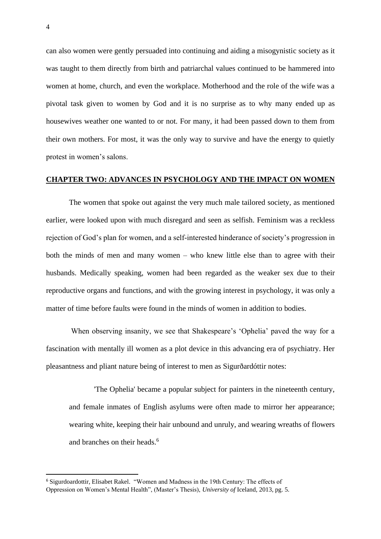can also women were gently persuaded into continuing and aiding a misogynistic society as it was taught to them directly from birth and patriarchal values continued to be hammered into women at home, church, and even the workplace. Motherhood and the role of the wife was a pivotal task given to women by God and it is no surprise as to why many ended up as housewives weather one wanted to or not. For many, it had been passed down to them from their own mothers. For most, it was the only way to survive and have the energy to quietly protest in women's salons.

## **CHAPTER TWO: ADVANCES IN PSYCHOLOGY AND THE IMPACT ON WOMEN**

The women that spoke out against the very much male tailored society, as mentioned earlier, were looked upon with much disregard and seen as selfish. Feminism was a reckless rejection of God's plan for women, and a self-interested hinderance of society's progression in both the minds of men and many women – who knew little else than to agree with their husbands. Medically speaking, women had been regarded as the weaker sex due to their reproductive organs and functions, and with the growing interest in psychology, it was only a matter of time before faults were found in the minds of women in addition to bodies.

When observing insanity, we see that Shakespeare's 'Ophelia' paved the way for a fascination with mentally ill women as a plot device in this advancing era of psychiatry. Her pleasantness and pliant nature being of interest to men as Sigurðardóttir notes:

'The Ophelia' became a popular subject for painters in the nineteenth century, and female inmates of English asylums were often made to mirror her appearance; wearing white, keeping their hair unbound and unruly, and wearing wreaths of flowers and branches on their heads.<sup>6</sup>

<sup>6</sup> Sigurdoardottir, Elisabet Rakel. "Women and Madness in the 19th Century: The effects of Oppression on Women's Mental Health", (Master's Thesis), *University of* Iceland, 2013, pg. 5.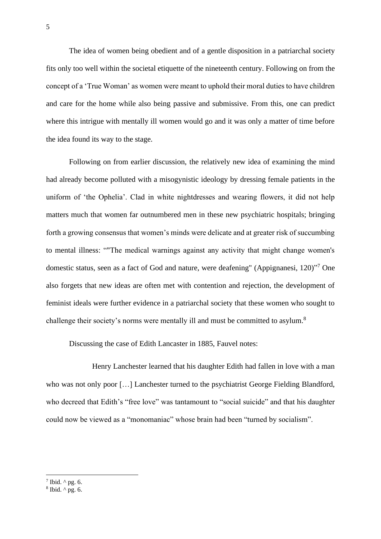The idea of women being obedient and of a gentle disposition in a patriarchal society fits only too well within the societal etiquette of the nineteenth century. Following on from the concept of a 'True Woman' as women were meant to uphold their moral duties to have children and care for the home while also being passive and submissive. From this, one can predict where this intrigue with mentally ill women would go and it was only a matter of time before the idea found its way to the stage.

Following on from earlier discussion, the relatively new idea of examining the mind had already become polluted with a misogynistic ideology by dressing female patients in the uniform of 'the Ophelia'. Clad in white nightdresses and wearing flowers, it did not help matters much that women far outnumbered men in these new psychiatric hospitals; bringing forth a growing consensus that women's minds were delicate and at greater risk of succumbing to mental illness: ""The medical warnings against any activity that might change women's domestic status, seen as a fact of God and nature, were deafening" (Appignanesi, 120)<sup>"7</sup> One also forgets that new ideas are often met with contention and rejection, the development of feminist ideals were further evidence in a patriarchal society that these women who sought to challenge their society's norms were mentally ill and must be committed to asylum.<sup>8</sup>

Discussing the case of Edith Lancaster in 1885, Fauvel notes:

Henry Lanchester learned that his daughter Edith had fallen in love with a man who was not only poor [...] Lanchester turned to the psychiatrist George Fielding Blandford, who decreed that Edith's "free love" was tantamount to "social suicide" and that his daughter could now be viewed as a "monomaniac" whose brain had been "turned by socialism".

 $7$  Ibid.  $\wedge$  pg. 6.

 $8$  Ibid.  $\wedge$  pg. 6.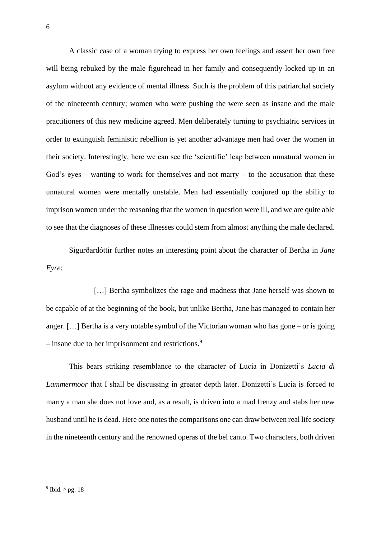A classic case of a woman trying to express her own feelings and assert her own free will being rebuked by the male figurehead in her family and consequently locked up in an asylum without any evidence of mental illness. Such is the problem of this patriarchal society of the nineteenth century; women who were pushing the were seen as insane and the male practitioners of this new medicine agreed. Men deliberately turning to psychiatric services in order to extinguish feministic rebellion is yet another advantage men had over the women in their society. Interestingly, here we can see the 'scientific' leap between unnatural women in God's eyes – wanting to work for themselves and not marry – to the accusation that these unnatural women were mentally unstable. Men had essentially conjured up the ability to imprison women under the reasoning that the women in question were ill, and we are quite able to see that the diagnoses of these illnesses could stem from almost anything the male declared.

Sigurðardóttir further notes an interesting point about the character of Bertha in *Jane Eyre*:

[...] Bertha symbolizes the rage and madness that Jane herself was shown to be capable of at the beginning of the book, but unlike Bertha, Jane has managed to contain her anger. […] Bertha is a very notable symbol of the Victorian woman who has gone – or is going – insane due to her imprisonment and restrictions.<sup>9</sup>

This bears striking resemblance to the character of Lucia in Donizetti's *Lucia di Lammermoor* that I shall be discussing in greater depth later. Donizetti's Lucia is forced to marry a man she does not love and, as a result, is driven into a mad frenzy and stabs her new husband until he is dead. Here one notes the comparisons one can draw between real life society in the nineteenth century and the renowned operas of the bel canto. Two characters, both driven

<sup>9</sup> Ibid. ^ pg. 18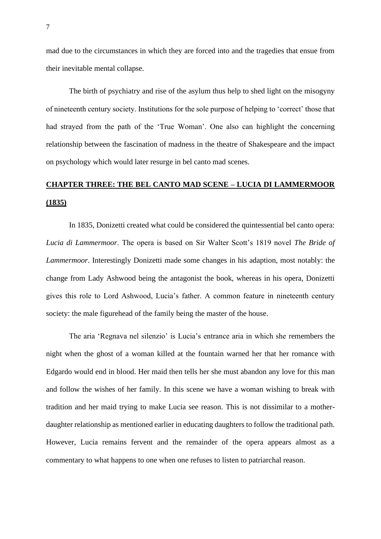mad due to the circumstances in which they are forced into and the tragedies that ensue from their inevitable mental collapse.

The birth of psychiatry and rise of the asylum thus help to shed light on the misogyny of nineteenth century society. Institutions for the sole purpose of helping to 'correct' those that had strayed from the path of the 'True Woman'. One also can highlight the concerning relationship between the fascination of madness in the theatre of Shakespeare and the impact on psychology which would later resurge in bel canto mad scenes.

# **CHAPTER THREE: THE BEL CANTO MAD SCENE – LUCIA DI LAMMERMOOR (1835)**

In 1835, Donizetti created what could be considered the quintessential bel canto opera: *Lucia di Lammermoor*. The opera is based on Sir Walter Scott's 1819 novel *The Bride of Lammermoor*. Interestingly Donizetti made some changes in his adaption, most notably: the change from Lady Ashwood being the antagonist the book, whereas in his opera, Donizetti gives this role to Lord Ashwood, Lucia's father. A common feature in nineteenth century society: the male figurehead of the family being the master of the house.

The aria 'Regnava nel silenzio' is Lucia's entrance aria in which she remembers the night when the ghost of a woman killed at the fountain warned her that her romance with Edgardo would end in blood. Her maid then tells her she must abandon any love for this man and follow the wishes of her family. In this scene we have a woman wishing to break with tradition and her maid trying to make Lucia see reason. This is not dissimilar to a motherdaughter relationship as mentioned earlier in educating daughters to follow the traditional path. However, Lucia remains fervent and the remainder of the opera appears almost as a commentary to what happens to one when one refuses to listen to patriarchal reason.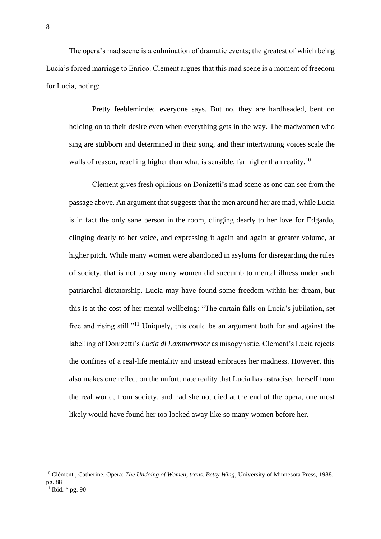The opera's mad scene is a culmination of dramatic events; the greatest of which being Lucia's forced marriage to Enrico. Clement argues that this mad scene is a moment of freedom for Lucia, noting:

Pretty feebleminded everyone says. But no, they are hardheaded, bent on holding on to their desire even when everything gets in the way. The madwomen who sing are stubborn and determined in their song, and their intertwining voices scale the walls of reason, reaching higher than what is sensible, far higher than reality.<sup>10</sup>

Clement gives fresh opinions on Donizetti's mad scene as one can see from the passage above. An argument that suggests that the men around her are mad, while Lucia is in fact the only sane person in the room, clinging dearly to her love for Edgardo, clinging dearly to her voice, and expressing it again and again at greater volume, at higher pitch. While many women were abandoned in asylums for disregarding the rules of society, that is not to say many women did succumb to mental illness under such patriarchal dictatorship. Lucia may have found some freedom within her dream, but this is at the cost of her mental wellbeing: "The curtain falls on Lucia's jubilation, set free and rising still."<sup>11</sup> Uniquely, this could be an argument both for and against the labelling of Donizetti's *Lucia di Lammermoor* as misogynistic. Clement's Lucia rejects the confines of a real-life mentality and instead embraces her madness. However, this also makes one reflect on the unfortunate reality that Lucia has ostracised herself from the real world, from society, and had she not died at the end of the opera, one most likely would have found her too locked away like so many women before her.

<sup>10</sup> Clément , Catherine. Opera: *The Undoing of Women, trans. Betsy Wing,* University of Minnesota Press, 1988. pg. 88  $^{11}$  Ibid.  $^{\wedge}$  pg. 90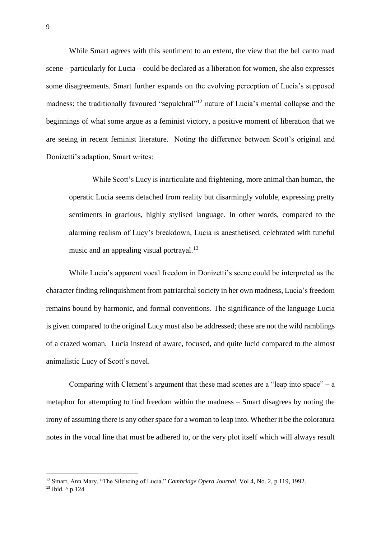While Smart agrees with this sentiment to an extent, the view that the bel canto mad scene – particularly for Lucia – could be declared as a liberation for women, she also expresses some disagreements. Smart further expands on the evolving perception of Lucia's supposed madness; the traditionally favoured "sepulchral"<sup>12</sup> nature of Lucia's mental collapse and the beginnings of what some argue as a feminist victory, a positive moment of liberation that we are seeing in recent feminist literature. Noting the difference between Scott's original and Donizetti's adaption, Smart writes:

While Scott's Lucy is inarticulate and frightening, more animal than human, the operatic Lucia seems detached from reality but disarmingly voluble, expressing pretty sentiments in gracious, highly stylised language. In other words, compared to the alarming realism of Lucy's breakdown, Lucia is anesthetised, celebrated with tuneful music and an appealing visual portrayal.<sup>13</sup>

While Lucia's apparent vocal freedom in Donizetti's scene could be interpreted as the character finding relinquishment from patriarchal society in her own madness, Lucia's freedom remains bound by harmonic, and formal conventions. The significance of the language Lucia is given compared to the original Lucy must also be addressed; these are not the wild ramblings of a crazed woman. Lucia instead of aware, focused, and quite lucid compared to the almost animalistic Lucy of Scott's novel.

Comparing with Clement's argument that these mad scenes are a "leap into space" – a metaphor for attempting to find freedom within the madness – Smart disagrees by noting the irony of assuming there is any other space for a woman to leap into. Whether it be the coloratura notes in the vocal line that must be adhered to, or the very plot itself which will always result

<sup>12</sup> Smart, Ann Mary. "The Silencing of Lucia." *Cambridge Opera Journal*, Vol 4, No. 2, p.119, 1992.

<sup>13</sup> Ibid. ^ p.124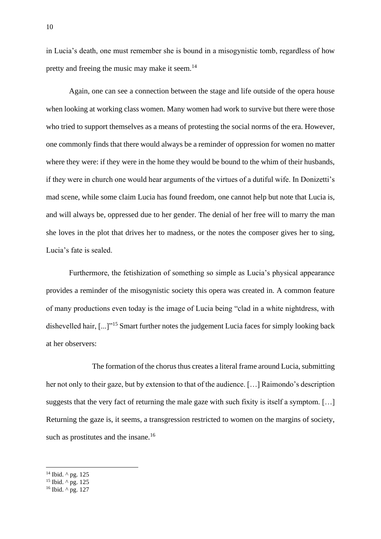in Lucia's death, one must remember she is bound in a misogynistic tomb, regardless of how pretty and freeing the music may make it seem.<sup>14</sup>

Again, one can see a connection between the stage and life outside of the opera house when looking at working class women. Many women had work to survive but there were those who tried to support themselves as a means of protesting the social norms of the era. However, one commonly finds that there would always be a reminder of oppression for women no matter where they were: if they were in the home they would be bound to the whim of their husbands, if they were in church one would hear arguments of the virtues of a dutiful wife. In Donizetti's mad scene, while some claim Lucia has found freedom, one cannot help but note that Lucia is, and will always be, oppressed due to her gender. The denial of her free will to marry the man she loves in the plot that drives her to madness, or the notes the composer gives her to sing, Lucia's fate is sealed.

Furthermore, the fetishization of something so simple as Lucia's physical appearance provides a reminder of the misogynistic society this opera was created in. A common feature of many productions even today is the image of Lucia being "clad in a white nightdress, with dishevelled hair, [...]"<sup>15</sup> Smart further notes the judgement Lucia faces for simply looking back at her observers:

The formation of the chorus thus creates a literal frame around Lucia, submitting her not only to their gaze, but by extension to that of the audience. […] Raimondo's description suggests that the very fact of returning the male gaze with such fixity is itself a symptom. […] Returning the gaze is, it seems, a transgression restricted to women on the margins of society, such as prostitutes and the insane.<sup>16</sup>

<sup>&</sup>lt;sup>14</sup> Ibid. ^ pg. 125

 $15$  Ibid.  $\wedge$  pg. 125

 $16$  Ibid.  $\wedge$  pg. 127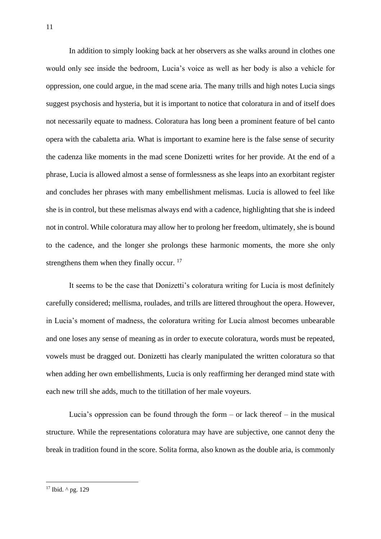In addition to simply looking back at her observers as she walks around in clothes one would only see inside the bedroom, Lucia's voice as well as her body is also a vehicle for oppression, one could argue, in the mad scene aria. The many trills and high notes Lucia sings suggest psychosis and hysteria, but it is important to notice that coloratura in and of itself does not necessarily equate to madness. Coloratura has long been a prominent feature of bel canto opera with the cabaletta aria. What is important to examine here is the false sense of security the cadenza like moments in the mad scene Donizetti writes for her provide. At the end of a phrase, Lucia is allowed almost a sense of formlessness as she leaps into an exorbitant register and concludes her phrases with many embellishment melismas. Lucia is allowed to feel like she is in control, but these melismas always end with a cadence, highlighting that she is indeed not in control. While coloratura may allow her to prolong her freedom, ultimately, she is bound to the cadence, and the longer she prolongs these harmonic moments, the more she only strengthens them when they finally occur.<sup>17</sup>

It seems to be the case that Donizetti's coloratura writing for Lucia is most definitely carefully considered; mellisma, roulades, and trills are littered throughout the opera. However, in Lucia's moment of madness, the coloratura writing for Lucia almost becomes unbearable and one loses any sense of meaning as in order to execute coloratura, words must be repeated, vowels must be dragged out. Donizetti has clearly manipulated the written coloratura so that when adding her own embellishments, Lucia is only reaffirming her deranged mind state with each new trill she adds, much to the titillation of her male voyeurs.

Lucia's oppression can be found through the form  $-$  or lack thereof  $-$  in the musical structure. While the representations coloratura may have are subjective, one cannot deny the break in tradition found in the score. Solita forma, also known as the double aria, is commonly

<sup>&</sup>lt;sup>17</sup> Ibid. ^ pg. 129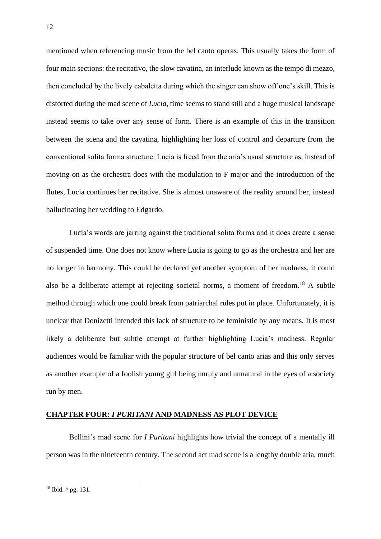mentioned when referencing music from the bel canto operas. This usually takes the form of four main sections: the recitativo, the slow cavatina, an interlude known as the tempo di mezzo, then concluded by the lively cabaletta during which the singer can show off one's skill. This is distorted during the mad scene of *Lucia*, time seems to stand still and a huge musical landscape instead seems to take over any sense of form. There is an example of this in the transition between the scena and the cavatina, highlighting her loss of control and departure from the conventional solita forma structure. Lucia is freed from the aria's usual structure as, instead of moving on as the orchestra does with the modulation to F major and the introduction of the flutes, Lucia continues her recitative. She is almost unaware of the reality around her, instead hallucinating her wedding to Edgardo.

Lucia's words are jarring against the traditional solita forma and it does create a sense of suspended time. One does not know where Lucia is going to go as the orchestra and her are no longer in harmony. This could be declared yet another symptom of her madness, it could also be a deliberate attempt at rejecting societal norms, a moment of freedom.<sup>18</sup> A subtle method through which one could break from patriarchal rules put in place. Unfortunately, it is unclear that Donizetti intended this lack of structure to be feministic by any means. It is most likely a deliberate but subtle attempt at further highlighting Lucia's madness. Regular audiences would be familiar with the popular structure of bel canto arias and this only serves as another example of a foolish young girl being unruly and unnatural in the eyes of a society run by men.

### **CHAPTER FOUR:** *I PURITANI* **AND MADNESS AS PLOT DEVICE**

Bellini's mad scene for *I Puritani* highlights how trivial the concept of a mentally ill person was in the nineteenth century. The second act mad scene is a lengthy double aria, much

 $18$  Ibid.  $\wedge$  pg. 131.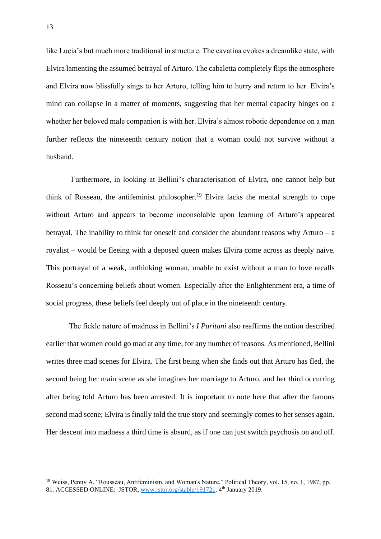like Lucia's but much more traditional in structure. The cavatina evokes a dreamlike state, with Elvira lamenting the assumed betrayal of Arturo. The cabaletta completely flips the atmosphere and Elvira now blissfully sings to her Arturo, telling him to hurry and return to her. Elvira's mind can collapse in a matter of moments, suggesting that her mental capacity hinges on a whether her beloved male companion is with her. Elvira's almost robotic dependence on a man further reflects the nineteenth century notion that a woman could not survive without a husband.

Furthermore, in looking at Bellini's characterisation of Elvira, one cannot help but think of Rosseau, the antifeminist philosopher.<sup>19</sup> Elvira lacks the mental strength to cope without Arturo and appears to become inconsolable upon learning of Arturo's appeared betrayal. The inability to think for oneself and consider the abundant reasons why Arturo –  $a$ royalist – would be fleeing with a deposed queen makes Elvira come across as deeply naive. This portrayal of a weak, unthinking woman, unable to exist without a man to love recalls Rosseau's concerning beliefs about women. Especially after the Enlightenment era, a time of social progress, these beliefs feel deeply out of place in the nineteenth century.

The fickle nature of madness in Bellini's *I Puritani* also reaffirms the notion described earlier that women could go mad at any time, for any number of reasons. As mentioned, Bellini writes three mad scenes for Elvira. The first being when she finds out that Arturo has fled, the second being her main scene as she imagines her marriage to Arturo, and her third occurring after being told Arturo has been arrested. It is important to note here that after the famous second mad scene; Elvira is finally told the true story and seemingly comes to her senses again. Her descent into madness a third time is absurd, as if one can just switch psychosis on and off.

<sup>&</sup>lt;sup>19</sup> Weiss, Penny A. "Rousseau, Antifeminism, and Woman's Nature." Political Theory, vol. 15, no. 1, 1987, pp. 81. ACCESSED ONLINE: JSTOR, [www.jstor.org/stable/191721.](http://www.jstor.org/stable/191721) 4<sup>th</sup> January 2019.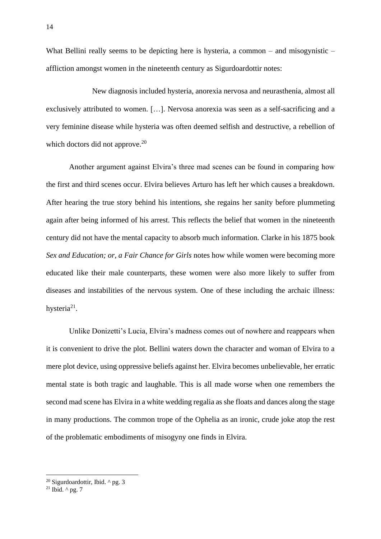What Bellini really seems to be depicting here is hysteria, a common – and misogynistic – affliction amongst women in the nineteenth century as Sigurdoardottir notes:

New diagnosis included hysteria, anorexia nervosa and neurasthenia, almost all exclusively attributed to women. […]. Nervosa anorexia was seen as a self-sacrificing and a very feminine disease while hysteria was often deemed selfish and destructive, a rebellion of which doctors did not approve.<sup>20</sup>

Another argument against Elvira's three mad scenes can be found in comparing how the first and third scenes occur. Elvira believes Arturo has left her which causes a breakdown. After hearing the true story behind his intentions, she regains her sanity before plummeting again after being informed of his arrest. This reflects the belief that women in the nineteenth century did not have the mental capacity to absorb much information. Clarke in his 1875 book *Sex and Education; or, a Fair Chance for Girls* notes how while women were becoming more educated like their male counterparts, these women were also more likely to suffer from diseases and instabilities of the nervous system. One of these including the archaic illness: hysteria $21$ .

Unlike Donizetti's Lucia, Elvira's madness comes out of nowhere and reappears when it is convenient to drive the plot. Bellini waters down the character and woman of Elvira to a mere plot device, using oppressive beliefs against her. Elvira becomes unbelievable, her erratic mental state is both tragic and laughable. This is all made worse when one remembers the second mad scene has Elvira in a white wedding regalia as she floats and dances along the stage in many productions. The common trope of the Ophelia as an ironic, crude joke atop the rest of the problematic embodiments of misogyny one finds in Elvira.

<sup>20</sup> Sigurdoardottir, Ibid. ^ pg. 3

<sup>&</sup>lt;sup>21</sup> Ibid.  $\wedge$  pg. 7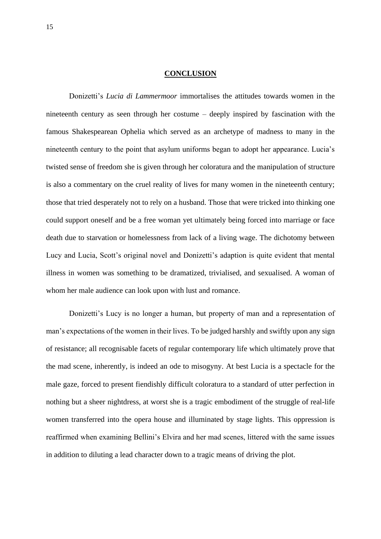## **CONCLUSION**

Donizetti's *Lucia di Lammermoor* immortalises the attitudes towards women in the nineteenth century as seen through her costume – deeply inspired by fascination with the famous Shakespearean Ophelia which served as an archetype of madness to many in the nineteenth century to the point that asylum uniforms began to adopt her appearance. Lucia's twisted sense of freedom she is given through her coloratura and the manipulation of structure is also a commentary on the cruel reality of lives for many women in the nineteenth century; those that tried desperately not to rely on a husband. Those that were tricked into thinking one could support oneself and be a free woman yet ultimately being forced into marriage or face death due to starvation or homelessness from lack of a living wage. The dichotomy between Lucy and Lucia, Scott's original novel and Donizetti's adaption is quite evident that mental illness in women was something to be dramatized, trivialised, and sexualised. A woman of whom her male audience can look upon with lust and romance.

Donizetti's Lucy is no longer a human, but property of man and a representation of man's expectations of the women in their lives. To be judged harshly and swiftly upon any sign of resistance; all recognisable facets of regular contemporary life which ultimately prove that the mad scene, inherently, is indeed an ode to misogyny. At best Lucia is a spectacle for the male gaze, forced to present fiendishly difficult coloratura to a standard of utter perfection in nothing but a sheer nightdress, at worst she is a tragic embodiment of the struggle of real-life women transferred into the opera house and illuminated by stage lights. This oppression is reaffirmed when examining Bellini's Elvira and her mad scenes, littered with the same issues in addition to diluting a lead character down to a tragic means of driving the plot.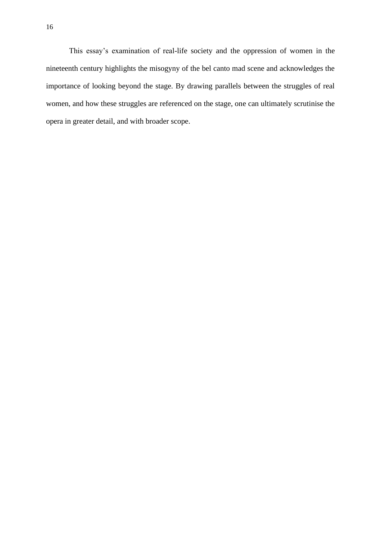This essay's examination of real-life society and the oppression of women in the nineteenth century highlights the misogyny of the bel canto mad scene and acknowledges the importance of looking beyond the stage. By drawing parallels between the struggles of real women, and how these struggles are referenced on the stage, one can ultimately scrutinise the opera in greater detail, and with broader scope.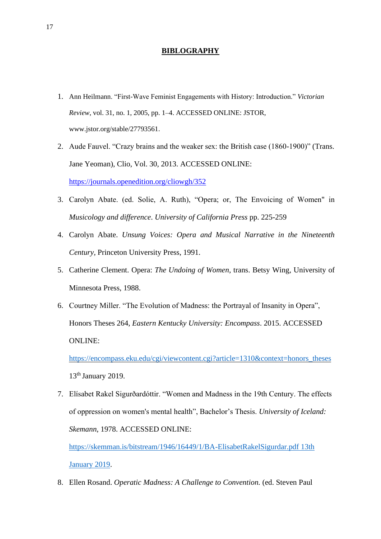## **BIBLOGRAPHY**

- 1. Ann Heilmann. "First-Wave Feminist Engagements with History: Introduction." *Victorian Review*, vol. 31, no. 1, 2005, pp. 1–4. ACCESSED ONLINE: JSTOR, www.jstor.org/stable/27793561.
- 2. Aude Fauvel. "Crazy brains and the weaker sex: the British case (1860-1900)" (Trans. Jane Yeoman), Clio, Vol. 30, 2013. ACCESSED ONLINE: <https://journals.openedition.org/cliowgh/352>
- 3. Carolyn Abate. (ed. Solie, A. Ruth), "Opera; or, The Envoicing of Women" in *Musicology and difference*. *University of California Press* pp. 225-259
- 4. Carolyn Abate. *Unsung Voices: Opera and Musical Narrative in the Nineteenth Century,* Princeton University Press, 1991.
- 5. Catherine Clement. Opera: *The Undoing of Women*, trans. Betsy Wing*,* University of Minnesota Press, 1988.
- 6. Courtney Miller. "The Evolution of Madness: the Portrayal of Insanity in Opera", Honors Theses 264, *Eastern Kentucky University: Encompass*. 2015. ACCESSED ONLINE:

[https://encompass.eku.edu/cgi/viewcontent.cgi?article=1310&context=honors\\_theses](https://encompass.eku.edu/cgi/viewcontent.cgi?article=1310&context=honors_theses) 13<sup>th</sup> January 2019.

7. Elísabet Rakel Sigurðardóttir. "Women and Madness in the 19th Century. The effects of oppression on women's mental health", Bachelor's Thesis. *University of Iceland: Skemann*, 1978. ACCESSED ONLINE:

[https://skemman.is/bitstream/1946/16449/1/BA-ElisabetRakelSigurdar.pdf 13th](https://skemman.is/bitstream/1946/16449/1/BA-ElisabetRakelSigurdar.pdf%2013th%20January%202019)  [January 2019.](https://skemman.is/bitstream/1946/16449/1/BA-ElisabetRakelSigurdar.pdf%2013th%20January%202019)

8. Ellen Rosand. *Operatic Madness: A Challenge to Convention.* (ed. Steven Paul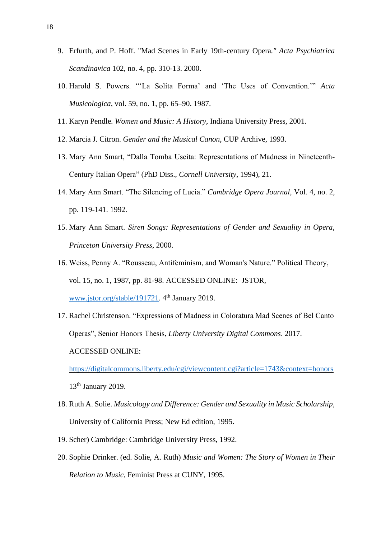- 9. Erfurth, and P. Hoff. "Mad Scenes in Early 19th-century Opera*." Acta Psychiatrica Scandinavica* 102, no. 4, pp. 310-13. 2000.
- 10. Harold S. Powers. "'La Solita Forma' and 'The Uses of Convention.'" *Acta Musicologica*, vol. 59, no. 1, pp. 65–90. 1987.
- 11. Karyn Pendle. *Women and Music: A History*, Indiana University Press, 2001.
- 12. Marcia J. Citron. *Gender and the Musical Canon*, CUP Archive, 1993.
- 13. Mary Ann Smart, "Dalla Tomba Uscita: Representations of Madness in Nineteenth-Century Italian Opera" (PhD Diss., *Cornell University*, 1994), 21.
- 14. Mary Ann Smart. "The Silencing of Lucia." *Cambridge Opera Journal,* Vol*.* 4, no. 2, pp. 119-141. 1992.
- 15. Mary Ann Smart. *Siren Songs: Representations of Gender and Sexuality in Opera*, *Princeton University Press*, 2000.
- 16. Weiss, Penny A. "Rousseau, Antifeminism, and Woman's Nature." Political Theory, vol. 15, no. 1, 1987, pp. 81-98. ACCESSED ONLINE: JSTOR, [www.jstor.org/stable/191721.](http://www.jstor.org/stable/191721) 4<sup>th</sup> January 2019.
- 17. Rachel Christenson. "Expressions of Madness in Coloratura Mad Scenes of Bel Canto Operas", Senior Honors Thesis, *Liberty University Digital Commons*. 2017. ACCESSED ONLINE:

<https://digitalcommons.liberty.edu/cgi/viewcontent.cgi?article=1743&context=honors> 13<sup>th</sup> January 2019.

- 18. Ruth A. Solie. *Musicology and Difference: Gender and Sexuality in Music Scholarship*, University of California Press; New Ed edition, 1995.
- 19. Scher) Cambridge: Cambridge University Press, 1992.
- 20. Sophie Drinker. (ed. Solie, A. Ruth) *Music and Women: The Story of Women in Their Relation to Music*, Feminist Press at CUNY, 1995.